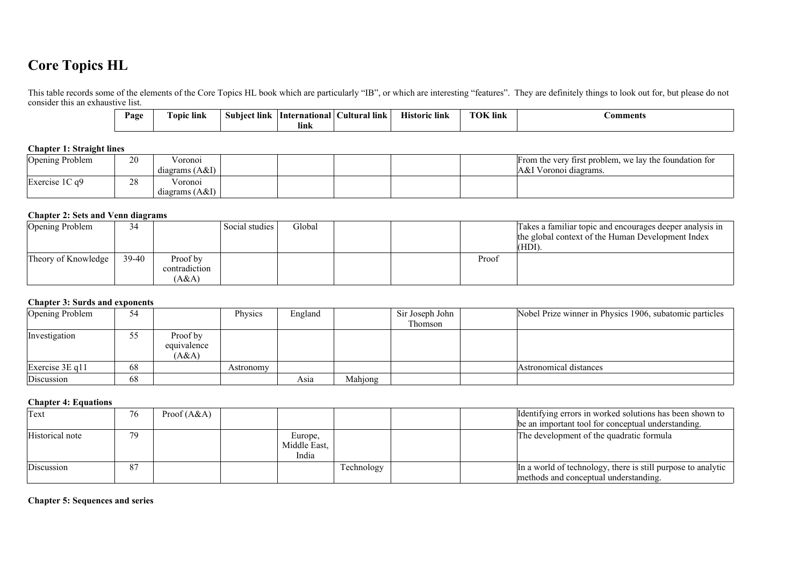# **Core Topics HL**

This table records some of the elements of the Core Topics HL book which are particularly "IB", or which are interesting "features". They are definitely things to look out for, but please do not consider this an exhaustive list.

| Page | <b>CONT</b><br>$\blacksquare$<br>Fopic link | -link<br>Subject | <b>International</b> | ral lınk<br><b>Jultural</b> | . .<br>lınk<br>Historic | <b>TOK</b> lin<br>. lınk | <b>€omments</b> |
|------|---------------------------------------------|------------------|----------------------|-----------------------------|-------------------------|--------------------------|-----------------|
|      |                                             |                  | lınk                 |                             |                         |                          |                 |

#### **Chapter 1: Straight lines**

| Opening Problem     | 20       | oronoi           |  |  | From the very first problem, we lay the foundation for |
|---------------------|----------|------------------|--|--|--------------------------------------------------------|
|                     |          | diagrams $(A&I)$ |  |  | A&I Voronoi diagrams.                                  |
| Exercise $1C$ q $9$ | າດ<br>20 | 'oronoi          |  |  |                                                        |
|                     |          | diagrams $(A&I)$ |  |  |                                                        |

#### **Chapter 2: Sets and Venn diagrams**

| Opening Problem     | 34    |               | Social studies | Global |  |       | Takes a familiar topic and encourages deeper analysis in<br>the global context of the Human Development Index |
|---------------------|-------|---------------|----------------|--------|--|-------|---------------------------------------------------------------------------------------------------------------|
|                     |       |               |                |        |  |       | (HDI)                                                                                                         |
| Theory of Knowledge | 39-40 | Proof by      |                |        |  | Proof |                                                                                                               |
|                     |       | contradiction |                |        |  |       |                                                                                                               |
|                     |       | (A&A)         |                |        |  |       |                                                                                                               |

#### **Chapter 3: Surds and exponents**

| Opening Problem       | 54 |                                  | Physics   | England |         | Sir Joseph John | Nobel Prize winner in Physics 1906, subatomic particles |
|-----------------------|----|----------------------------------|-----------|---------|---------|-----------------|---------------------------------------------------------|
|                       |    |                                  |           |         |         | Thomson         |                                                         |
| Investigation         | 55 | Proof by<br>equivalence<br>(A&A) |           |         |         |                 |                                                         |
| Exercise $3E \neq 11$ | 68 |                                  | Astronomy |         |         |                 | Astronomical distances                                  |
| Discussion            | 68 |                                  |           | Asia    | Mahjong |                 |                                                         |

#### **Chapter 4: Equations**

| Text            | 76 | Proof $(A&A)$ |                                  |            |  | Identifying errors in worked solutions has been shown to<br>be an important tool for conceptual understanding. |
|-----------------|----|---------------|----------------------------------|------------|--|----------------------------------------------------------------------------------------------------------------|
| Historical note | 79 |               | Europe,<br>Middle East,<br>India |            |  | The development of the quadratic formula                                                                       |
| Discussion      | 87 |               |                                  | Technology |  | In a world of technology, there is still purpose to analytic<br>methods and conceptual understanding.          |

**Chapter 5: Sequences and series**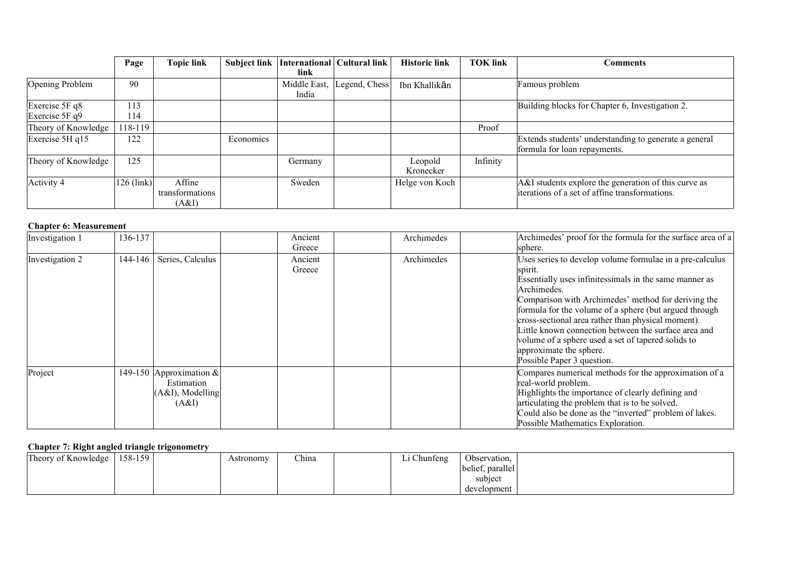|                                    | Page         | <b>Topic link</b>                  | <b>Subject link</b> | International<br>link | Cultural link | <b>Historic link</b> | <b>TOK link</b> | Comments                                                                                               |
|------------------------------------|--------------|------------------------------------|---------------------|-----------------------|---------------|----------------------|-----------------|--------------------------------------------------------------------------------------------------------|
| Opening Problem                    | 90           |                                    |                     | Middle East,<br>India | Legend, Chess | Ibn Khallikān        |                 | Famous problem                                                                                         |
| Exercise 5F q8<br>Exercise $5F q9$ | 113<br>114   |                                    |                     |                       |               |                      |                 | Building blocks for Chapter 6, Investigation 2.                                                        |
| Theory of Knowledge                | 118-119      |                                    |                     |                       |               |                      | Proof           |                                                                                                        |
| Exercise 5H q15                    | 122          |                                    | Economics           |                       |               |                      |                 | Extends students' understanding to generate a general<br>formula for loan repayments.                  |
| Theory of Knowledge                | 125          |                                    |                     | Germany               |               | Leopold<br>Kronecker | Infinity        |                                                                                                        |
| Activity 4                         | $126$ (link) | Affine<br>transformations<br>(A&I) |                     | Sweden                |               | Helge von Koch       |                 | A&I students explore the generation of this curve as<br>iterations of a set of affine transformations. |

### **Chapter 6: Measurement**

| Investigation 1 | 136-137 |                                                                       | Ancient<br>Greece | Archimedes | Archimedes' proof for the formula for the surface area of a<br>sphere.                                                                                                                                                                                                                                                                                                                                                                                                                     |
|-----------------|---------|-----------------------------------------------------------------------|-------------------|------------|--------------------------------------------------------------------------------------------------------------------------------------------------------------------------------------------------------------------------------------------------------------------------------------------------------------------------------------------------------------------------------------------------------------------------------------------------------------------------------------------|
| Investigation 2 | 144-146 | Series, Calculus                                                      | Ancient<br>Greece | Archimedes | Uses series to develop volume formulae in a pre-calculus<br>spirit.<br>Essentially uses infinitessimals in the same manner as<br>Archimedes.<br>Comparison with Archimedes' method for deriving the<br>formula for the volume of a sphere (but argued through<br>cross-sectional area rather than physical moment).<br>Little known connection between the surface area and<br>volume of a sphere used a set of tapered solids to<br>approximate the sphere.<br>Possible Paper 3 question. |
| Project         |         | 149-150 Approximation &<br>Estimation<br>$(A&I)$ , Modelling<br>(A&I) |                   |            | Compares numerical methods for the approximation of a<br>real-world problem.<br>Highlights the importance of clearly defining and<br>articulating the problem that is to be solved.<br>Could also be done as the "inverted" problem of lakes.<br>Possible Mathematics Exploration.                                                                                                                                                                                                         |

# **Chapter 7: Right angled triangle trigonometry**

| Theory of Knowledge | $158-159$ | Astronomy | $\sim$ $\sim$<br>China | Li Chunfeng | Observation,     |  |
|---------------------|-----------|-----------|------------------------|-------------|------------------|--|
|                     |           |           |                        |             | belief, parallel |  |
|                     |           |           |                        |             | subject          |  |
|                     |           |           |                        |             | development      |  |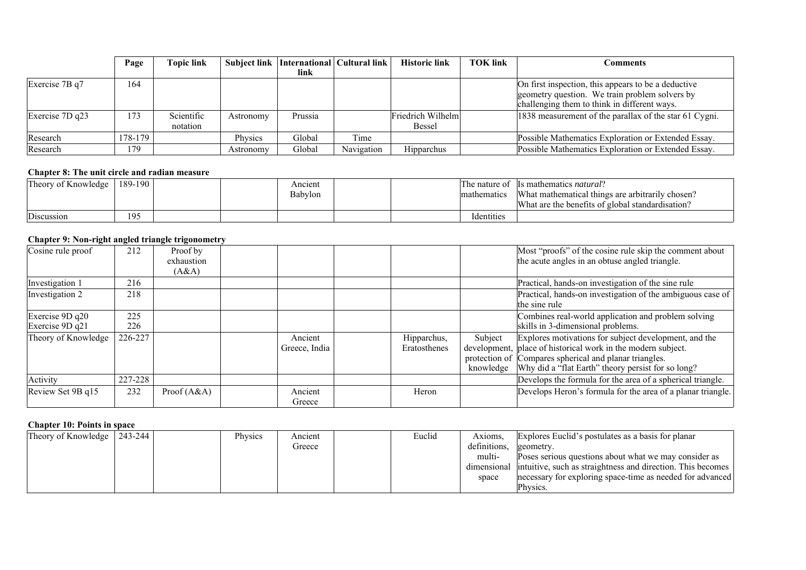|                   | Page    | <b>Topic link</b>      | <b>Subject link</b> | International   Cultural link |            | <b>Historic link</b>               | <b>TOK link</b> | <b>Comments</b>                                                                                                                                       |
|-------------------|---------|------------------------|---------------------|-------------------------------|------------|------------------------------------|-----------------|-------------------------------------------------------------------------------------------------------------------------------------------------------|
|                   |         |                        |                     | link                          |            |                                    |                 |                                                                                                                                                       |
| Exercise 7B q7    | 164     |                        |                     |                               |            |                                    |                 | On first inspection, this appears to be a deductive<br>geometry question. We train problem solvers by<br>challenging them to think in different ways. |
| Exercise $7D$ q23 | 173     | Scientific<br>notation | Astronomy           | Prussia                       |            | Friedrich Wilhelm<br><b>Bessel</b> |                 | 1838 measurement of the parallax of the star 61 Cygni.                                                                                                |
| Research          | 178-179 |                        | Physics             | Global                        | Time       |                                    |                 | Possible Mathematics Exploration or Extended Essay.                                                                                                   |
| Research          | 179     |                        | Astronomy           | Global                        | Navigation | <b>Hipparchus</b>                  |                 | Possible Mathematics Exploration or Extended Essay.                                                                                                   |

#### **Chapter 8: The unit circle and radian measure**

| Theory of Knowledge        | 189-190 |  | Ancient |  | The nature of | Is mathematics natural?                          |
|----------------------------|---------|--|---------|--|---------------|--------------------------------------------------|
|                            |         |  | Babylon |  | mathematics   | What mathematical things are arbitrarily chosen? |
|                            |         |  |         |  |               | What are the benefits of global standardisation? |
| $\mathbf{m}$<br>Discussion | 195     |  |         |  | Identities    |                                                  |

#### **Chapter 9: Non-right angled triangle trigonometry**

| Cosine rule proof                   | 212        | Proof by<br>exhaustion<br>(A&A) |                          |                             |         | Most "proofs" of the cosine rule skip the comment about<br>the acute angles in an obtuse angled triangle.                                                                                                                                       |
|-------------------------------------|------------|---------------------------------|--------------------------|-----------------------------|---------|-------------------------------------------------------------------------------------------------------------------------------------------------------------------------------------------------------------------------------------------------|
| Investigation 1                     | 216        |                                 |                          |                             |         | Practical, hands-on investigation of the sine rule                                                                                                                                                                                              |
| Investigation 2                     | 218        |                                 |                          |                             |         | Practical, hands-on investigation of the ambiguous case of<br>the sine rule                                                                                                                                                                     |
| Exercise 9D q20<br>Exercise $9Dq21$ | 225<br>226 |                                 |                          |                             |         | Combines real-world application and problem solving<br>skills in 3-dimensional problems.                                                                                                                                                        |
| Theory of Knowledge                 | 226-227    |                                 | Ancient<br>Greece, India | Hipparchus,<br>Eratosthenes | Subject | Explores motivations for subject development, and the<br>development, place of historical work in the modern subject.<br>protection of Compares spherical and planar triangles.<br>knowledge Why did a "flat Earth" theory persist for so long? |
| Activity                            | 227-228    |                                 |                          |                             |         | Develops the formula for the area of a spherical triangle.                                                                                                                                                                                      |
| Review Set 9B q15                   | 232        | Proof $(A&A)$                   | Ancient<br>Greece        | Heron                       |         | Develops Heron's formula for the area of a planar triangle.                                                                                                                                                                                     |

#### **Chapter 10: Points in space**

| Theory of Knowledge | 243-244 | Physics | Ancient | Euclid | Axioms       | Explores Euclid's postulates as a basis for planar                      |
|---------------------|---------|---------|---------|--------|--------------|-------------------------------------------------------------------------|
|                     |         |         | Greece  |        | definitions. | geometry.                                                               |
|                     |         |         |         |        | multi-       | Poses serious questions about what we may consider as                   |
|                     |         |         |         |        |              | dimensional intuitive, such as straightness and direction. This becomes |
|                     |         |         |         |        | space        | necessary for exploring space-time as needed for advanced               |
|                     |         |         |         |        |              | Physics.                                                                |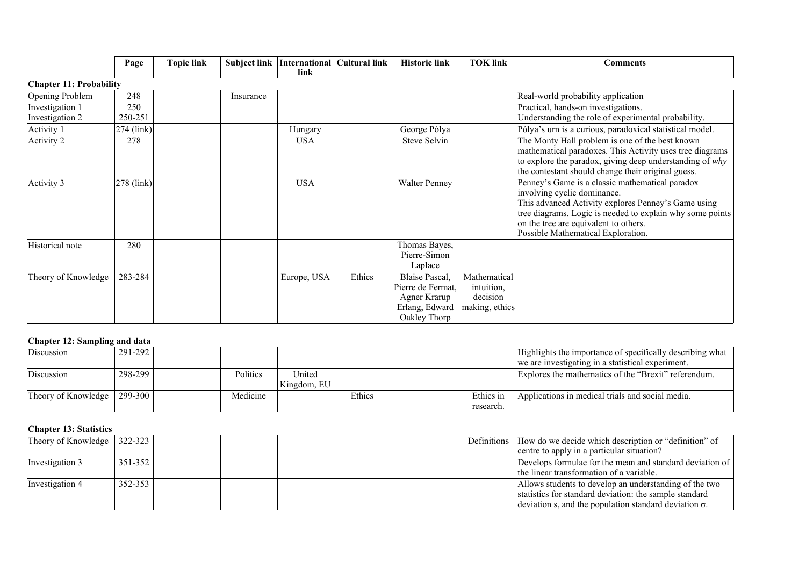|                                    | Page           | <b>Topic link</b> | Subject link | link        | International Cultural link | <b>Historic link</b>                                                                  | <b>TOK link</b>                                          | <b>Comments</b>                                                                                                                                                                                                                                                                   |
|------------------------------------|----------------|-------------------|--------------|-------------|-----------------------------|---------------------------------------------------------------------------------------|----------------------------------------------------------|-----------------------------------------------------------------------------------------------------------------------------------------------------------------------------------------------------------------------------------------------------------------------------------|
| <b>Chapter 11: Probability</b>     |                |                   |              |             |                             |                                                                                       |                                                          |                                                                                                                                                                                                                                                                                   |
| Opening Problem                    | 248            |                   | Insurance    |             |                             |                                                                                       |                                                          | Real-world probability application                                                                                                                                                                                                                                                |
| Investigation 1<br>Investigation 2 | 250<br>250-251 |                   |              |             |                             |                                                                                       |                                                          | Practical, hands-on investigations.<br>Understanding the role of experimental probability.                                                                                                                                                                                        |
| Activity 1                         | $274$ (link)   |                   |              | Hungary     |                             | George Pólya                                                                          |                                                          | Pólya's urn is a curious, paradoxical statistical model.                                                                                                                                                                                                                          |
| Activity 2                         | 278            |                   |              | <b>USA</b>  |                             | Steve Selvin                                                                          |                                                          | The Monty Hall problem is one of the best known<br>mathematical paradoxes. This Activity uses tree diagrams<br>to explore the paradox, giving deep understanding of why<br>the contestant should change their original guess.                                                     |
| Activity 3                         | $278$ (link)   |                   |              | <b>USA</b>  |                             | <b>Walter Penney</b>                                                                  |                                                          | Penney's Game is a classic mathematical paradox<br>involving cyclic dominance.<br>This advanced Activity explores Penney's Game using<br>tree diagrams. Logic is needed to explain why some points<br>on the tree are equivalent to others.<br>Possible Mathematical Exploration. |
| Historical note                    | 280            |                   |              |             |                             | Thomas Bayes,<br>Pierre-Simon<br>Laplace                                              |                                                          |                                                                                                                                                                                                                                                                                   |
| Theory of Knowledge                | 283-284        |                   |              | Europe, USA | Ethics                      | Blaise Pascal,<br>Pierre de Fermat,<br>Agner Krarup<br>Erlang, Edward<br>Oakley Thorp | Mathematical<br>intuition,<br>decision<br>making, ethics |                                                                                                                                                                                                                                                                                   |

# **Chapter 12: Sampling and data**

| Discussion                                  | 291-292 |          |             |        |           | Highlights the importance of specifically describing what |
|---------------------------------------------|---------|----------|-------------|--------|-----------|-----------------------------------------------------------|
|                                             |         |          |             |        |           | we are investigating in a statistical experiment.         |
| Discussion                                  | 298-299 | Politics | United      |        |           | Explores the mathematics of the "Brexit" referendum.      |
|                                             |         |          | Kingdom, EU |        |           |                                                           |
| Theory of Knowledge $\vert$ 299-300 $\vert$ |         | Medicine |             | Ethics | Ethics in | Applications in medical trials and social media.          |
|                                             |         |          |             |        | research. |                                                           |

# **Chapter 13: Statistics**

| Theory of Knowledge   $322-323$ |             |  |  |  | Definitions How do we decide which description or "definition" of |
|---------------------------------|-------------|--|--|--|-------------------------------------------------------------------|
|                                 |             |  |  |  | centre to apply in a particular situation?                        |
| Investigation 3                 | $351 - 352$ |  |  |  | Develops formulae for the mean and standard deviation of          |
|                                 |             |  |  |  | the linear transformation of a variable.                          |
| Investigation 4                 | 352-353     |  |  |  | Allows students to develop an understanding of the two            |
|                                 |             |  |  |  | statistics for standard deviation: the sample standard            |
|                                 |             |  |  |  | deviation s, and the population standard deviation $\sigma$ .     |